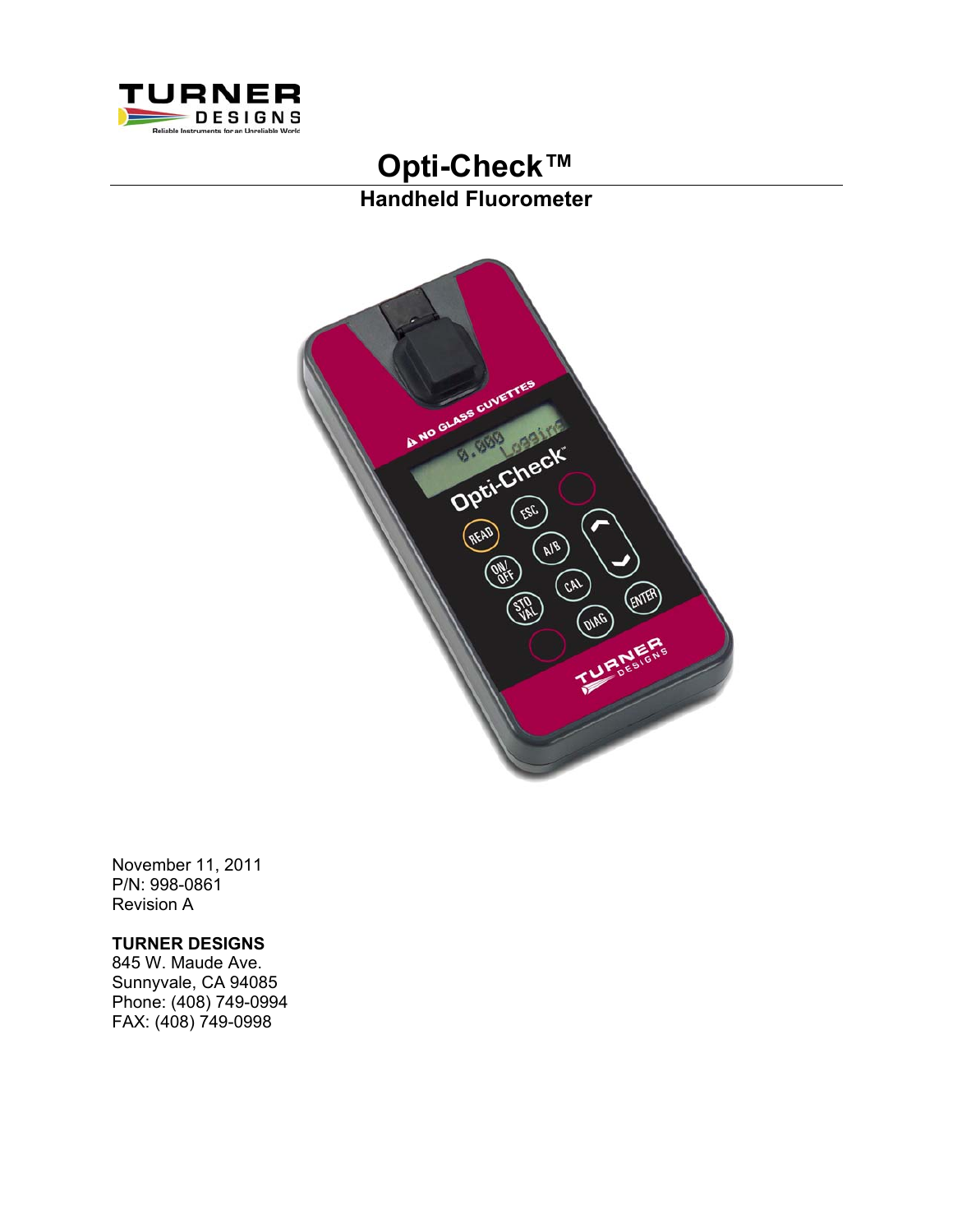

# **Opti-Check™ Handheld Fluorometer**



November 11, 2011 P/N: 998-0861 Revision A

## **TURNER DESIGNS**

845 W. Maude Ave. Sunnyvale, CA 94085 Phone: (408) 749-0994 FAX: (408) 749-0998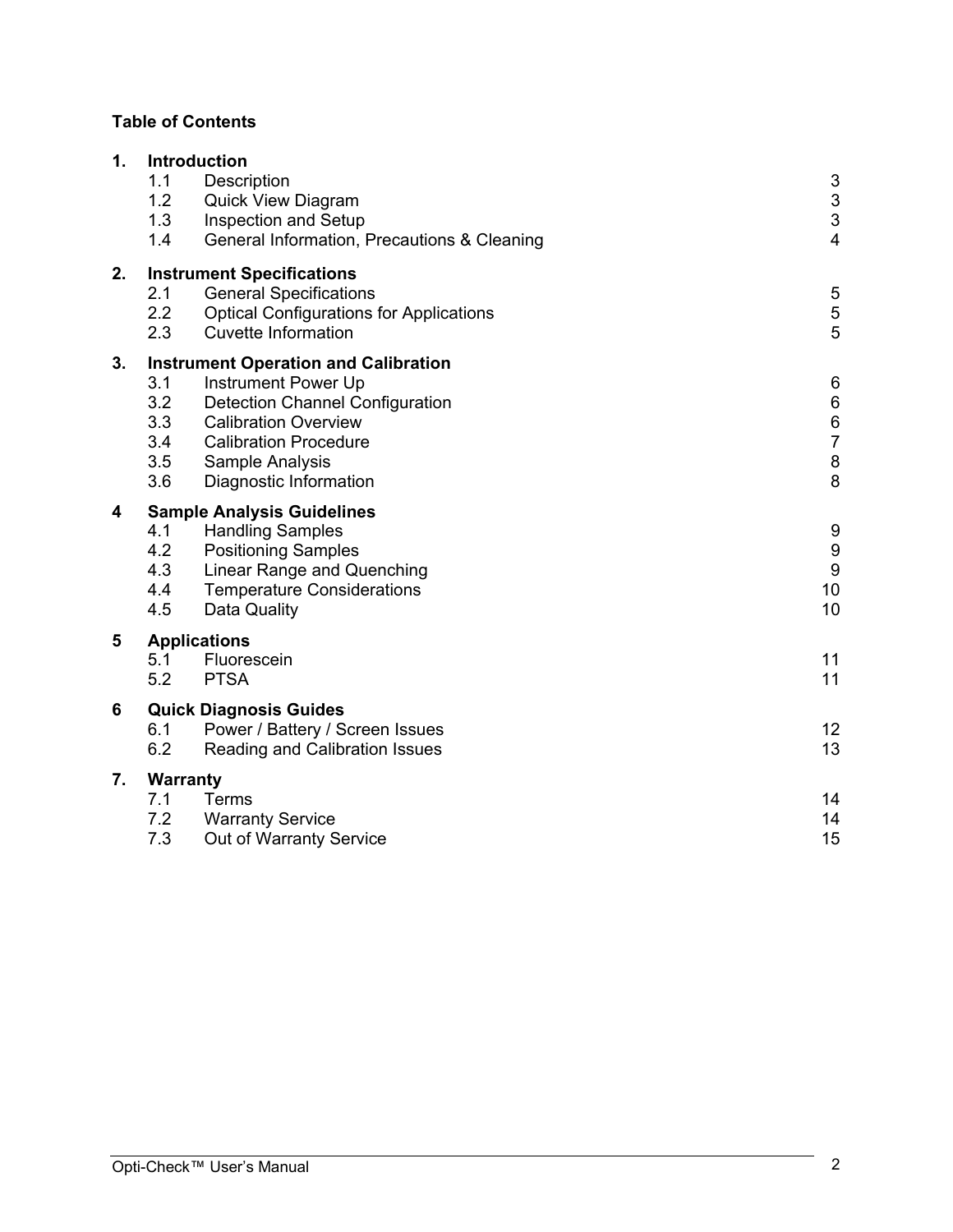# **Table of Contents**

| 1. | 1.1<br>1.2<br>1.3<br>1.4               | Introduction<br>Description<br>Quick View Diagram<br>Inspection and Setup<br>General Information, Precautions & Cleaning                                                                                                 | $\begin{array}{c} 3 \\ 3 \\ 3 \end{array}$<br>$\overline{4}$             |
|----|----------------------------------------|--------------------------------------------------------------------------------------------------------------------------------------------------------------------------------------------------------------------------|--------------------------------------------------------------------------|
| 2. | 2.1<br>2.2<br>2.3                      | <b>Instrument Specifications</b><br><b>General Specifications</b><br><b>Optical Configurations for Applications</b><br><b>Cuvette Information</b>                                                                        | 5<br>5<br>5<br>5                                                         |
| 3. | 3.1<br>3.2<br>3.3<br>3.4<br>3.5<br>3.6 | <b>Instrument Operation and Calibration</b><br>Instrument Power Up<br><b>Detection Channel Configuration</b><br><b>Calibration Overview</b><br><b>Calibration Procedure</b><br>Sample Analysis<br>Diagnostic Information | 6<br>$\boldsymbol{6}$<br>$\begin{array}{c} 6 \\ 7 \end{array}$<br>8<br>8 |
| 4  | 4.1<br>4.2<br>4.3<br>4.4<br>4.5        | <b>Sample Analysis Guidelines</b><br><b>Handling Samples</b><br><b>Positioning Samples</b><br>Linear Range and Quenching<br><b>Temperature Considerations</b><br>Data Quality                                            | 9<br>9<br>9<br>10<br>10                                                  |
| 5  | 5.1<br>5.2                             | <b>Applications</b><br>Fluorescein<br><b>PTSA</b>                                                                                                                                                                        | 11<br>11                                                                 |
| 6  | 6.1<br>6.2                             | <b>Quick Diagnosis Guides</b><br>Power / Battery / Screen Issues<br>Reading and Calibration Issues                                                                                                                       | 12<br>13                                                                 |
| 7. | <b>Warranty</b><br>7.1<br>7.2<br>7.3   | Terms<br><b>Warranty Service</b><br>Out of Warranty Service                                                                                                                                                              | 14<br>14<br>15                                                           |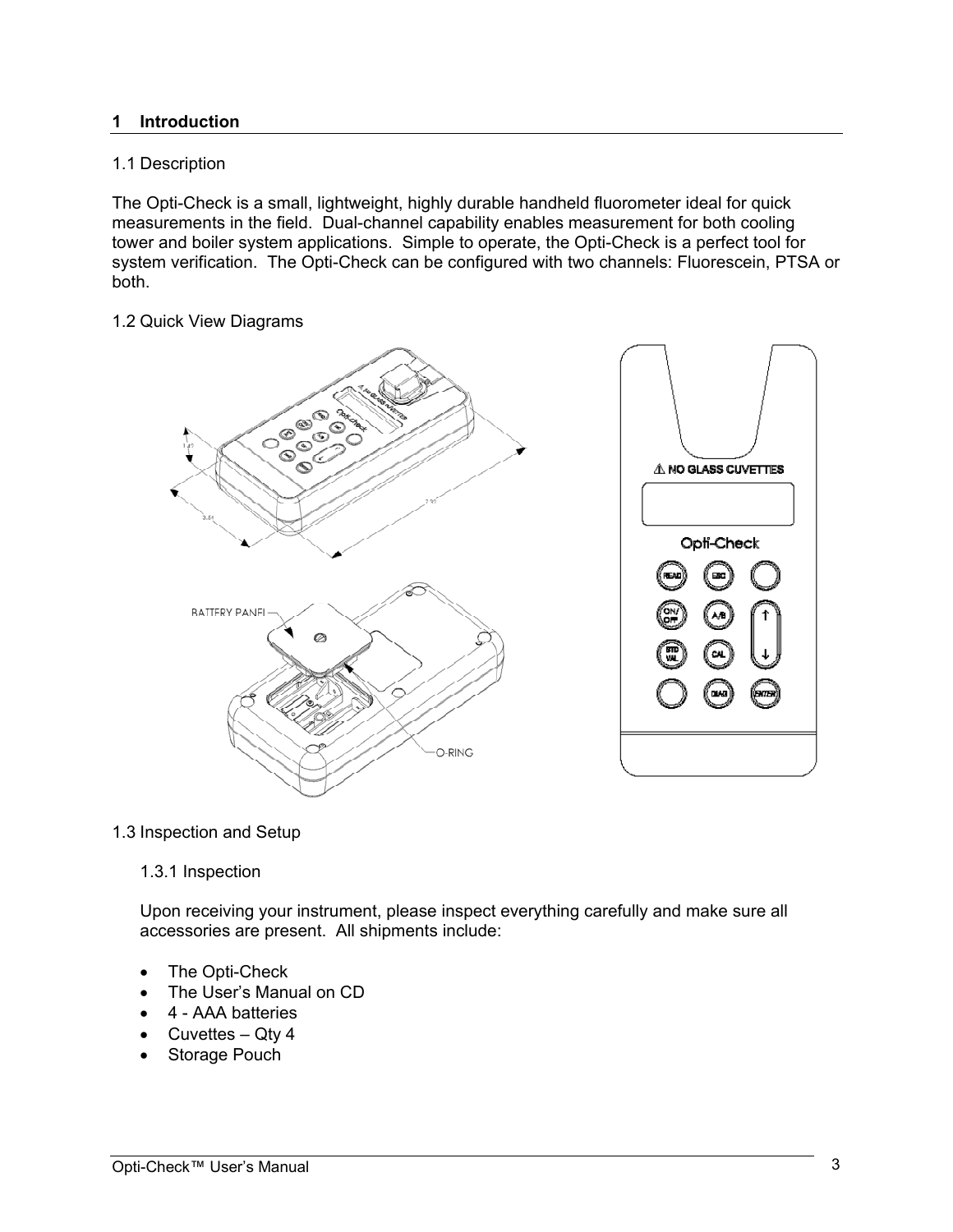## **1 Introduction**

## 1.1 Description

The Opti-Check is a small, lightweight, highly durable handheld fluorometer ideal for quick measurements in the field. Dual-channel capability enables measurement for both cooling tower and boiler system applications. Simple to operate, the Opti-Check is a perfect tool for system verification. The Opti-Check can be configured with two channels: Fluorescein, PTSA or both.

#### 1.2 Quick View Diagrams



#### 1.3 Inspection and Setup

#### 1.3.1 Inspection

Upon receiving your instrument, please inspect everything carefully and make sure all accessories are present. All shipments include:

- The Opti-Check
- The User's Manual on CD
- 4 AAA batteries
- Cuvettes  $-$  Qty 4
- Storage Pouch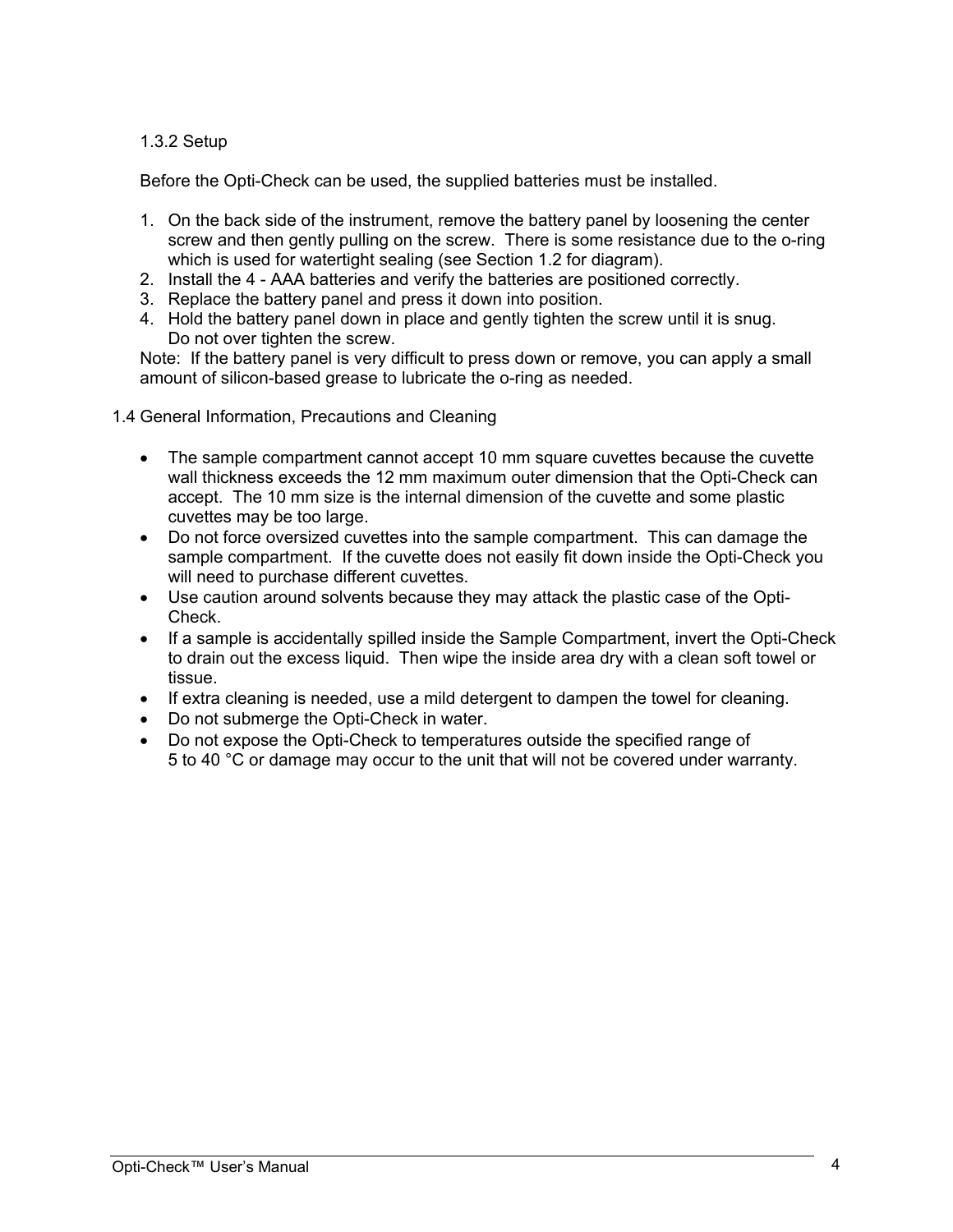## 1.3.2 Setup

Before the Opti-Check can be used, the supplied batteries must be installed.

- 1. On the back side of the instrument, remove the battery panel by loosening the center screw and then gently pulling on the screw. There is some resistance due to the o-ring which is used for watertight sealing (see Section 1.2 for diagram).
- 2. Install the 4 AAA batteries and verify the batteries are positioned correctly.
- 3. Replace the battery panel and press it down into position.
- 4. Hold the battery panel down in place and gently tighten the screw until it is snug. Do not over tighten the screw.

Note: If the battery panel is very difficult to press down or remove, you can apply a small amount of silicon-based grease to lubricate the o-ring as needed.

1.4 General Information, Precautions and Cleaning

- The sample compartment cannot accept 10 mm square cuvettes because the cuvette wall thickness exceeds the 12 mm maximum outer dimension that the Opti-Check can accept. The 10 mm size is the internal dimension of the cuvette and some plastic cuvettes may be too large.
- Do not force oversized cuvettes into the sample compartment. This can damage the sample compartment. If the cuvette does not easily fit down inside the Opti-Check you will need to purchase different cuvettes.
- Use caution around solvents because they may attack the plastic case of the Opti-Check.
- If a sample is accidentally spilled inside the Sample Compartment, invert the Opti-Check to drain out the excess liquid. Then wipe the inside area dry with a clean soft towel or tissue.
- If extra cleaning is needed, use a mild detergent to dampen the towel for cleaning.
- Do not submerge the Opti-Check in water.
- Do not expose the Opti-Check to temperatures outside the specified range of 5 to 40 °C or damage may occur to the unit that will not be covered under warranty.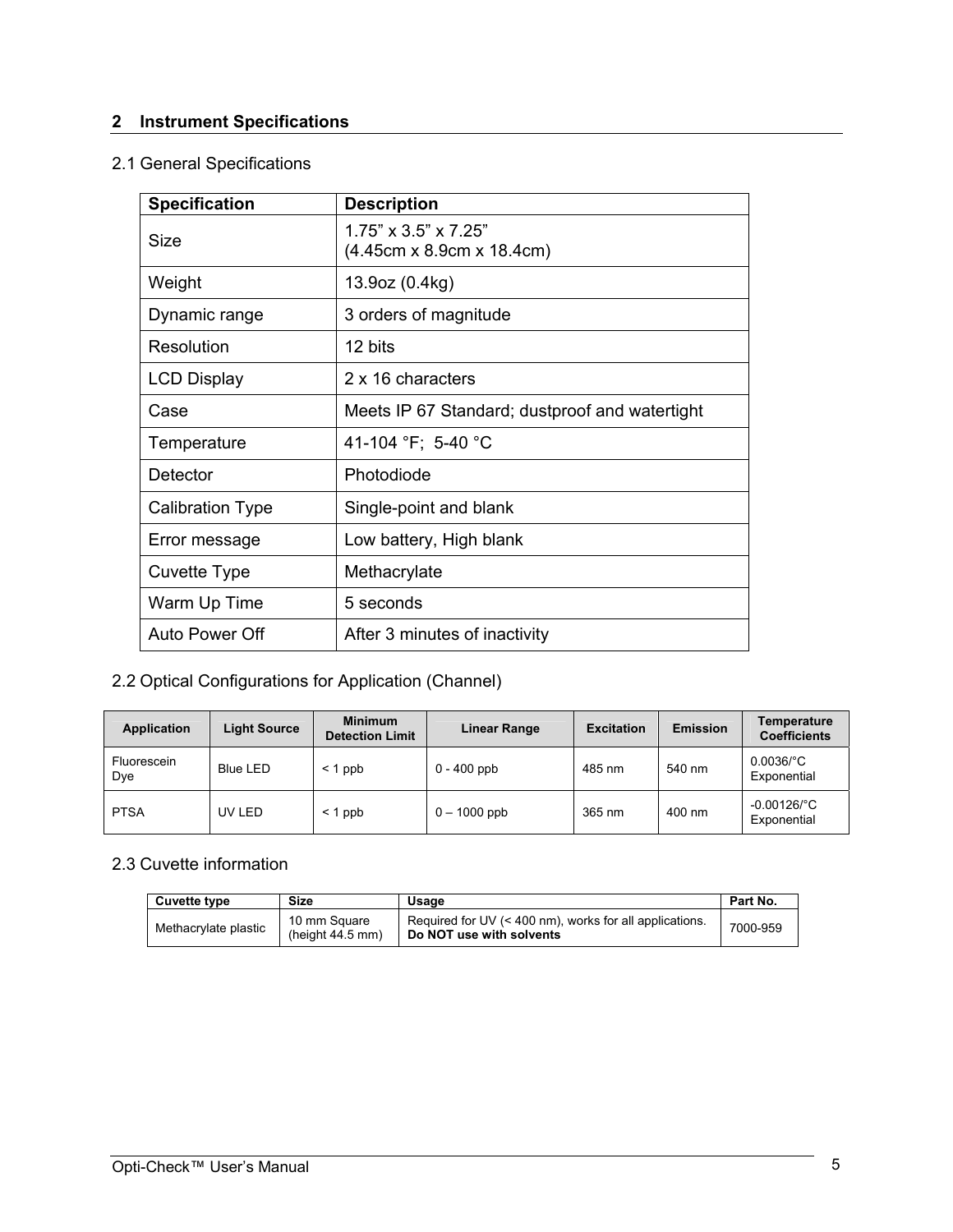# **2 Instrument Specifications**

# 2.1 General Specifications

| <b>Specification</b>    | <b>Description</b>                                                     |  |  |
|-------------------------|------------------------------------------------------------------------|--|--|
| Size                    | $1.75$ " x $3.5$ " x $7.25$ "<br>$(4.45cm \times 8.9cm \times 18.4cm)$ |  |  |
| Weight                  | 13.9oz (0.4kg)                                                         |  |  |
| Dynamic range           | 3 orders of magnitude                                                  |  |  |
| Resolution              | 12 bits                                                                |  |  |
| <b>LCD Display</b>      | 2 x 16 characters                                                      |  |  |
| Case                    | Meets IP 67 Standard; dustproof and watertight                         |  |  |
| Temperature             | 41-104 °F; 5-40 °C                                                     |  |  |
| Detector                | Photodiode                                                             |  |  |
| <b>Calibration Type</b> | Single-point and blank                                                 |  |  |
| Error message           | Low battery, High blank                                                |  |  |
| Cuvette Type            | Methacrylate                                                           |  |  |
| Warm Up Time            | 5 seconds                                                              |  |  |
| Auto Power Off          | After 3 minutes of inactivity                                          |  |  |

# 2.2 Optical Configurations for Application (Channel)

| <b>Application</b> | <b>Light Source</b> | <b>Minimum</b><br><b>Detection Limit</b> | <b>Linear Range</b> | <b>Excitation</b> | Emission | Temperature<br><b>Coefficients</b> |
|--------------------|---------------------|------------------------------------------|---------------------|-------------------|----------|------------------------------------|
| Fluorescein<br>Dye | Blue LED            | $<$ 1 ppb                                | $0 - 400$ ppb       | 485 nm            | 540 nm   | $0.0036$ /°C<br>Exponential        |
| <b>PTSA</b>        | UV LED              | $<$ 1 ppb                                | $0 - 1000$ ppb      | 365 nm            | 400 nm   | -0.00126/°C<br>Exponential         |

# 2.3 Cuvette information

| Cuvette type         | <b>Size</b>                        | Usage                                                                               | Part No. |
|----------------------|------------------------------------|-------------------------------------------------------------------------------------|----------|
| Methacrylate plastic | 10 mm Square<br>(height $44.5$ mm) | Required for UV (< 400 nm), works for all applications.<br>Do NOT use with solvents | 7000-959 |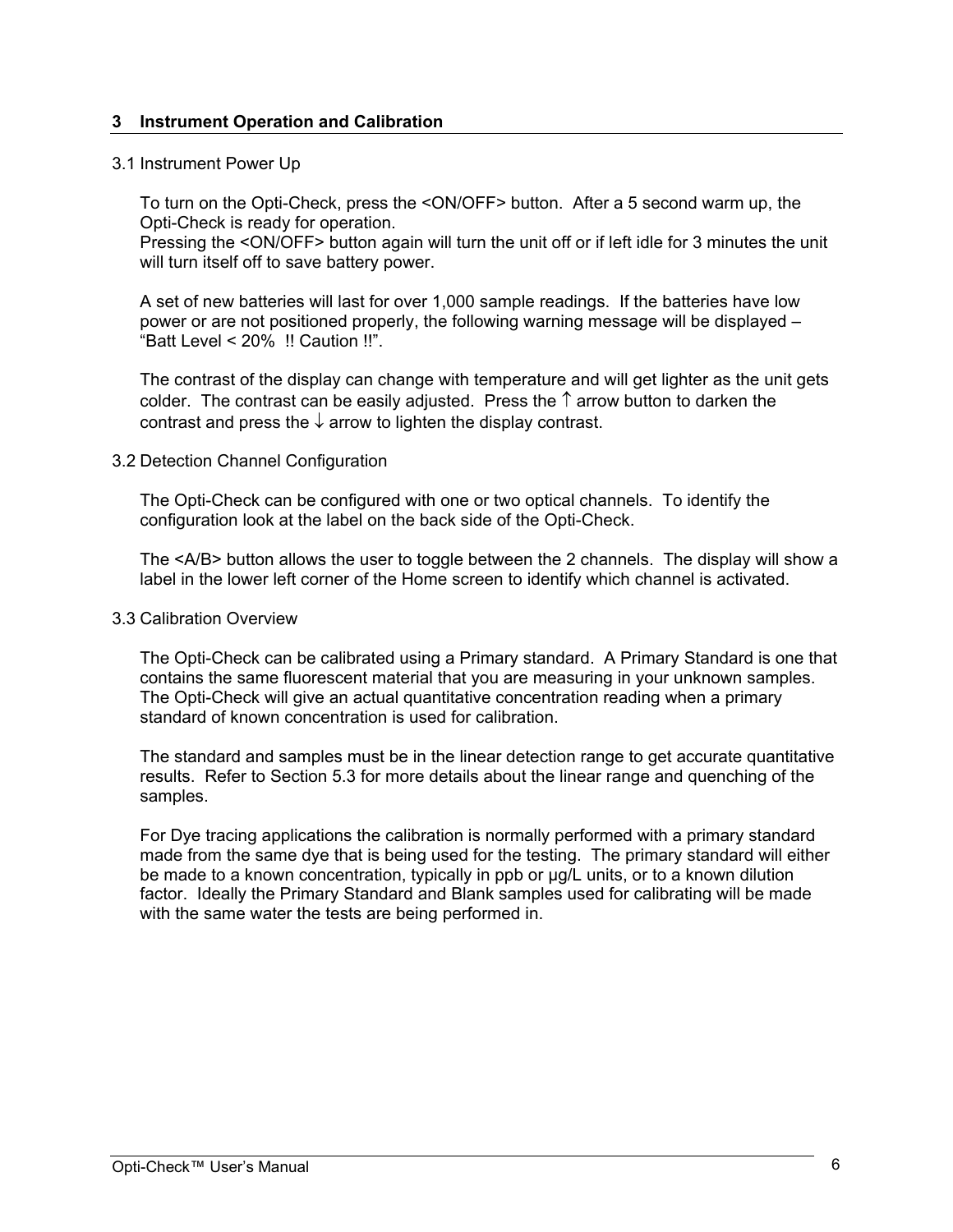### **3 Instrument Operation and Calibration**

#### 3.1 Instrument Power Up

To turn on the Opti-Check, press the <ON/OFF> button. After a 5 second warm up, the Opti-Check is ready for operation.

Pressing the <ON/OFF> button again will turn the unit off or if left idle for 3 minutes the unit will turn itself off to save battery power.

A set of new batteries will last for over 1,000 sample readings. If the batteries have low power or are not positioned properly, the following warning message will be displayed – "Batt Level < 20% !! Caution !!".

The contrast of the display can change with temperature and will get lighter as the unit gets colder. The contrast can be easily adjusted. Press the  $\uparrow$  arrow button to darken the contrast and press the  $\downarrow$  arrow to lighten the display contrast.

#### 3.2 Detection Channel Configuration

The Opti-Check can be configured with one or two optical channels. To identify the configuration look at the label on the back side of the Opti-Check.

The <A/B> button allows the user to toggle between the 2 channels. The display will show a label in the lower left corner of the Home screen to identify which channel is activated.

#### 3.3 Calibration Overview

The Opti-Check can be calibrated using a Primary standard. A Primary Standard is one that contains the same fluorescent material that you are measuring in your unknown samples. The Opti-Check will give an actual quantitative concentration reading when a primary standard of known concentration is used for calibration.

The standard and samples must be in the linear detection range to get accurate quantitative results. Refer to Section 5.3 for more details about the linear range and quenching of the samples.

For Dye tracing applications the calibration is normally performed with a primary standard made from the same dye that is being used for the testing. The primary standard will either be made to a known concentration, typically in ppb or µg/L units, or to a known dilution factor. Ideally the Primary Standard and Blank samples used for calibrating will be made with the same water the tests are being performed in.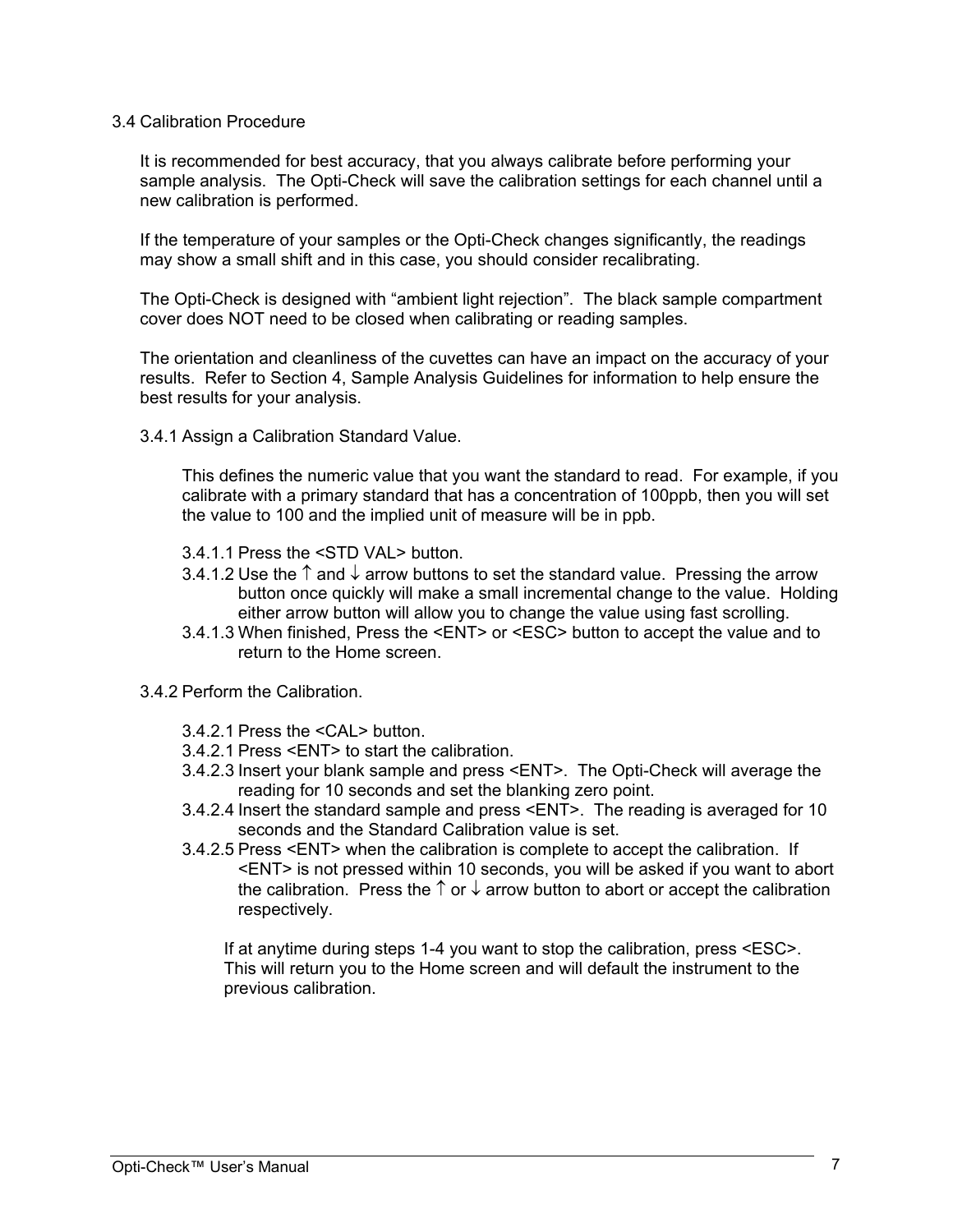#### 3.4 Calibration Procedure

It is recommended for best accuracy, that you always calibrate before performing your sample analysis. The Opti-Check will save the calibration settings for each channel until a new calibration is performed.

If the temperature of your samples or the Opti-Check changes significantly, the readings may show a small shift and in this case, you should consider recalibrating.

The Opti-Check is designed with "ambient light rejection". The black sample compartment cover does NOT need to be closed when calibrating or reading samples.

The orientation and cleanliness of the cuvettes can have an impact on the accuracy of your results. Refer to Section 4, Sample Analysis Guidelines for information to help ensure the best results for your analysis.

3.4.1 Assign a Calibration Standard Value.

This defines the numeric value that you want the standard to read. For example, if you calibrate with a primary standard that has a concentration of 100ppb, then you will set the value to 100 and the implied unit of measure will be in ppb.

- 3.4.1.1 Press the <STD VAL> button.
- 3.4.1.2 Use the  $\uparrow$  and  $\downarrow$  arrow buttons to set the standard value. Pressing the arrow button once quickly will make a small incremental change to the value. Holding either arrow button will allow you to change the value using fast scrolling.
- 3.4.1.3 When finished, Press the <ENT> or <ESC> button to accept the value and to return to the Home screen.
- 3.4.2 Perform the Calibration.
	- 3.4.2.1 Press the <CAL> button.
	- 3.4.2.1 Press <ENT> to start the calibration.
	- 3.4.2.3 Insert your blank sample and press <ENT>. The Opti-Check will average the reading for 10 seconds and set the blanking zero point.
	- 3.4.2.4 Insert the standard sample and press <ENT>. The reading is averaged for 10 seconds and the Standard Calibration value is set.
	- 3.4.2.5 Press <ENT> when the calibration is complete to accept the calibration. If <ENT> is not pressed within 10 seconds, you will be asked if you want to abort the calibration. Press the  $\uparrow$  or  $\downarrow$  arrow button to abort or accept the calibration respectively.

If at anytime during steps 1-4 you want to stop the calibration, press <ESC>. This will return you to the Home screen and will default the instrument to the previous calibration.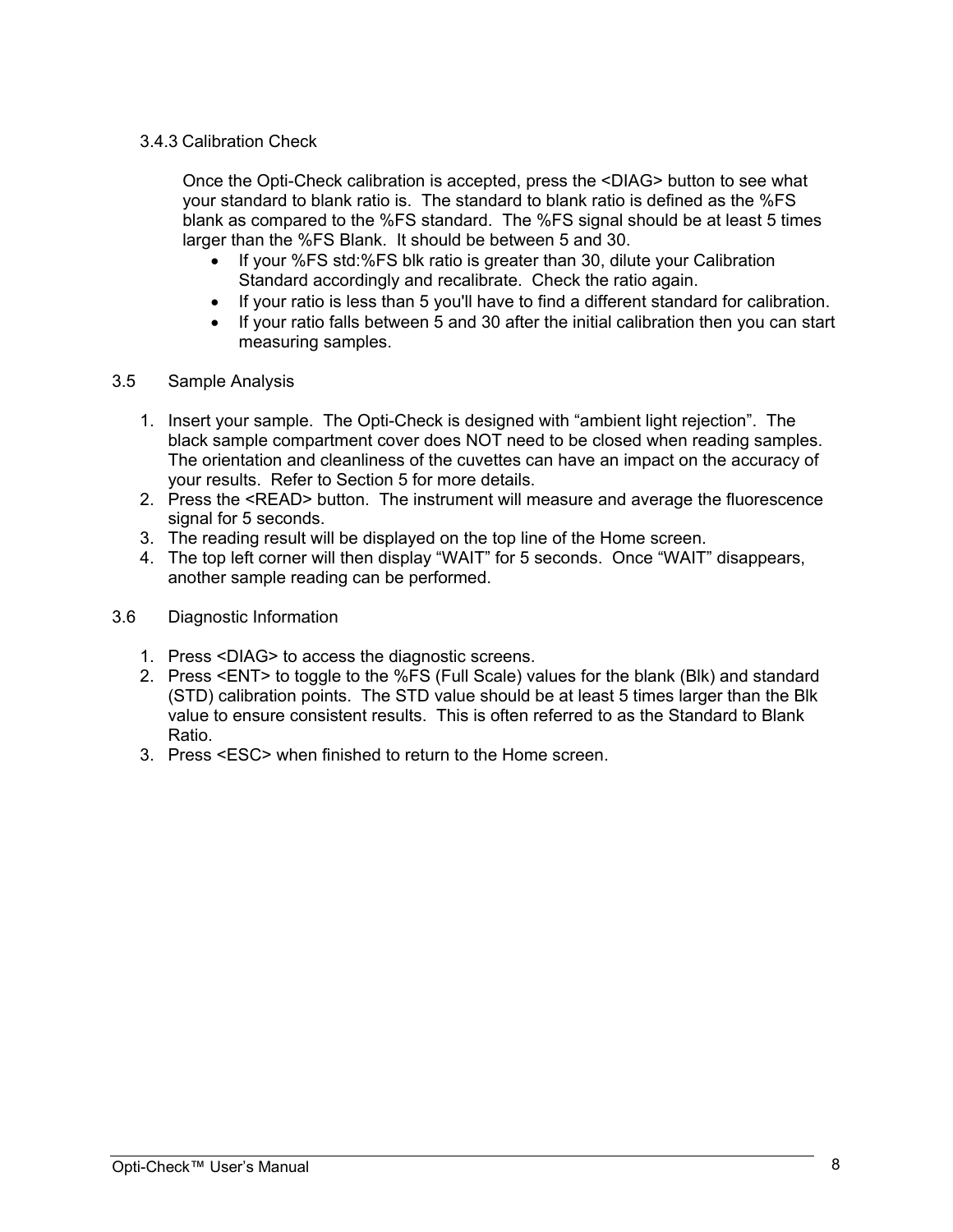## 3.4.3 Calibration Check

 Once the Opti-Check calibration is accepted, press the <DIAG> button to see what your standard to blank ratio is. The standard to blank ratio is defined as the %FS blank as compared to the %FS standard. The %FS signal should be at least 5 times larger than the %FS Blank. It should be between 5 and 30.

- If your %FS std:%FS blk ratio is greater than 30, dilute your Calibration Standard accordingly and recalibrate. Check the ratio again.
- If your ratio is less than 5 you'll have to find a different standard for calibration.
- If your ratio falls between 5 and 30 after the initial calibration then you can start measuring samples.
- 3.5 Sample Analysis
	- 1. Insert your sample. The Opti-Check is designed with "ambient light rejection". The black sample compartment cover does NOT need to be closed when reading samples. The orientation and cleanliness of the cuvettes can have an impact on the accuracy of your results. Refer to Section 5 for more details.
	- 2. Press the <READ> button. The instrument will measure and average the fluorescence signal for 5 seconds.
	- 3. The reading result will be displayed on the top line of the Home screen.
	- 4. The top left corner will then display "WAIT" for 5 seconds. Once "WAIT" disappears, another sample reading can be performed.
- 3.6 Diagnostic Information
	- 1. Press <DIAG> to access the diagnostic screens.
	- 2. Press <ENT> to toggle to the %FS (Full Scale) values for the blank (Blk) and standard (STD) calibration points. The STD value should be at least 5 times larger than the Blk value to ensure consistent results. This is often referred to as the Standard to Blank Ratio.
	- 3. Press <ESC> when finished to return to the Home screen.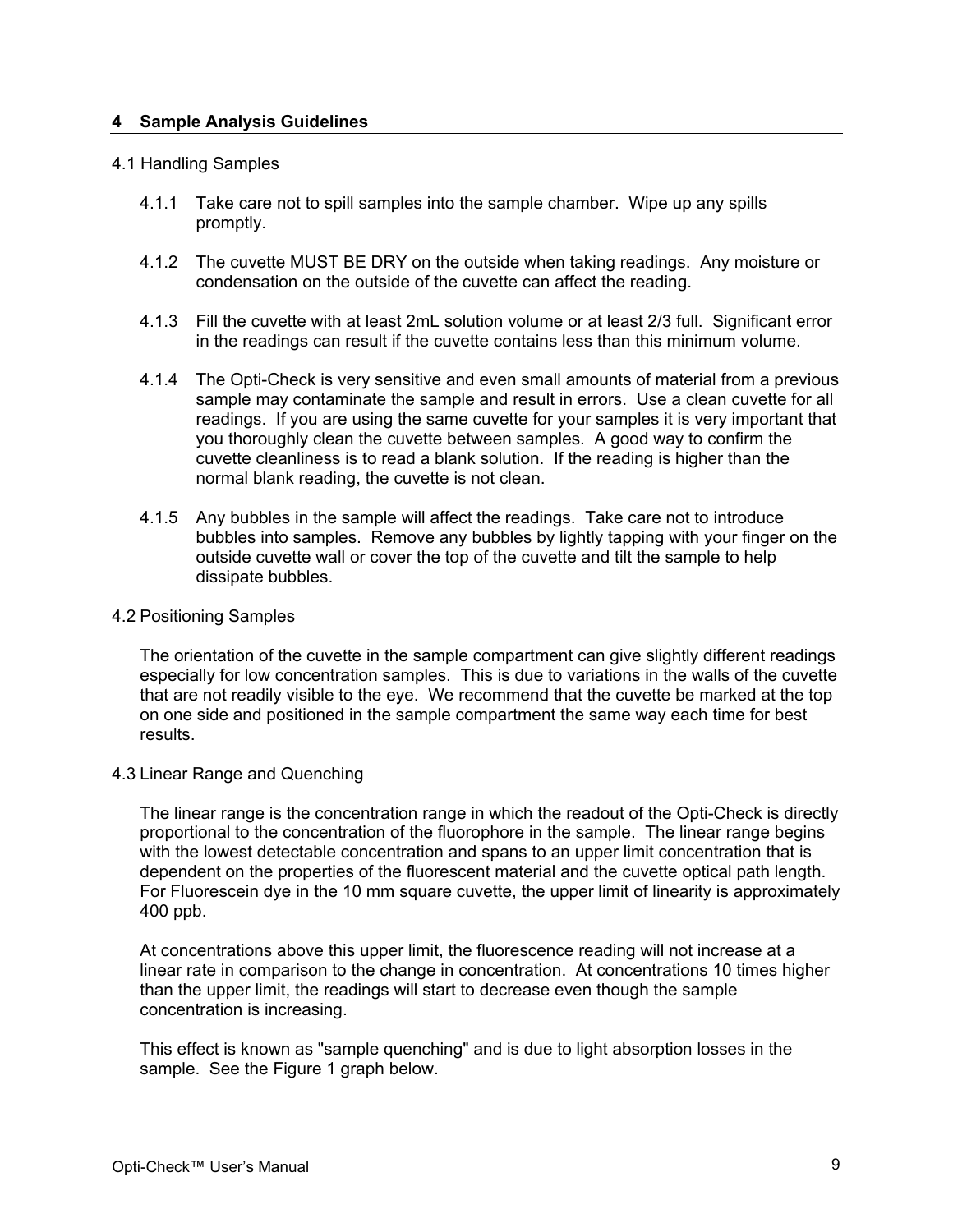## **4 Sample Analysis Guidelines**

#### 4.1 Handling Samples

- 4.1.1 Take care not to spill samples into the sample chamber. Wipe up any spills promptly.
- 4.1.2 The cuvette MUST BE DRY on the outside when taking readings. Any moisture or condensation on the outside of the cuvette can affect the reading.
- 4.1.3 Fill the cuvette with at least 2mL solution volume or at least 2/3 full. Significant error in the readings can result if the cuvette contains less than this minimum volume.
- 4.1.4 The Opti-Check is very sensitive and even small amounts of material from a previous sample may contaminate the sample and result in errors. Use a clean cuvette for all readings. If you are using the same cuvette for your samples it is very important that you thoroughly clean the cuvette between samples. A good way to confirm the cuvette cleanliness is to read a blank solution. If the reading is higher than the normal blank reading, the cuvette is not clean.
- 4.1.5 Any bubbles in the sample will affect the readings. Take care not to introduce bubbles into samples. Remove any bubbles by lightly tapping with your finger on the outside cuvette wall or cover the top of the cuvette and tilt the sample to help dissipate bubbles.
- 4.2 Positioning Samples

The orientation of the cuvette in the sample compartment can give slightly different readings especially for low concentration samples. This is due to variations in the walls of the cuvette that are not readily visible to the eye. We recommend that the cuvette be marked at the top on one side and positioned in the sample compartment the same way each time for best results.

4.3 Linear Range and Quenching

The linear range is the concentration range in which the readout of the Opti-Check is directly proportional to the concentration of the fluorophore in the sample. The linear range begins with the lowest detectable concentration and spans to an upper limit concentration that is dependent on the properties of the fluorescent material and the cuvette optical path length. For Fluorescein dye in the 10 mm square cuvette, the upper limit of linearity is approximately 400 ppb.

At concentrations above this upper limit, the fluorescence reading will not increase at a linear rate in comparison to the change in concentration. At concentrations 10 times higher than the upper limit, the readings will start to decrease even though the sample concentration is increasing.

This effect is known as "sample quenching" and is due to light absorption losses in the sample. See the Figure 1 graph below.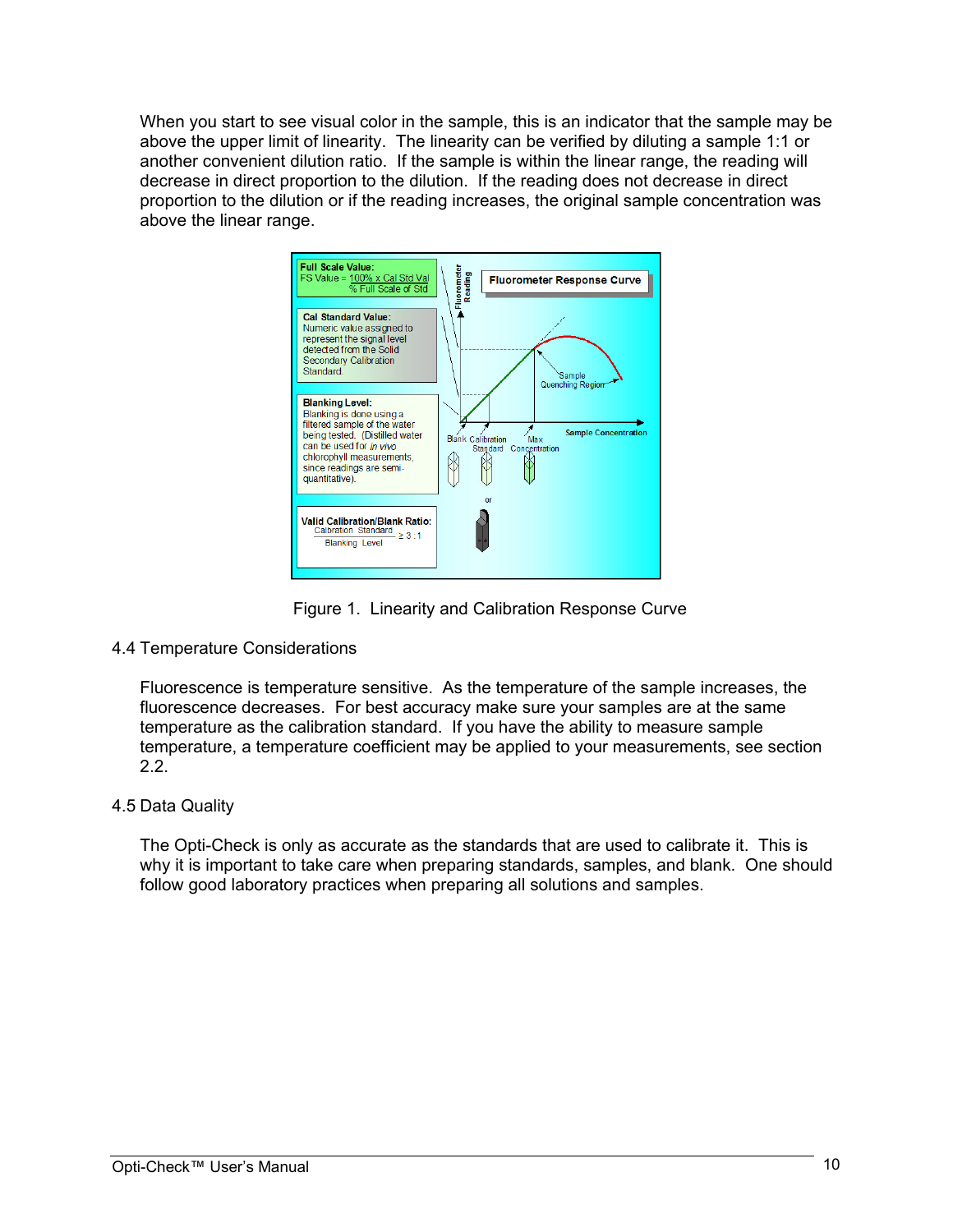When you start to see visual color in the sample, this is an indicator that the sample may be above the upper limit of linearity. The linearity can be verified by diluting a sample 1:1 or another convenient dilution ratio. If the sample is within the linear range, the reading will decrease in direct proportion to the dilution. If the reading does not decrease in direct proportion to the dilution or if the reading increases, the original sample concentration was above the linear range.



Figure 1. Linearity and Calibration Response Curve

4.4 Temperature Considerations

Fluorescence is temperature sensitive. As the temperature of the sample increases, the fluorescence decreases. For best accuracy make sure your samples are at the same temperature as the calibration standard. If you have the ability to measure sample temperature, a temperature coefficient may be applied to your measurements, see section 2.2.

## 4.5 Data Quality

 The Opti-Check is only as accurate as the standards that are used to calibrate it. This is why it is important to take care when preparing standards, samples, and blank. One should follow good laboratory practices when preparing all solutions and samples.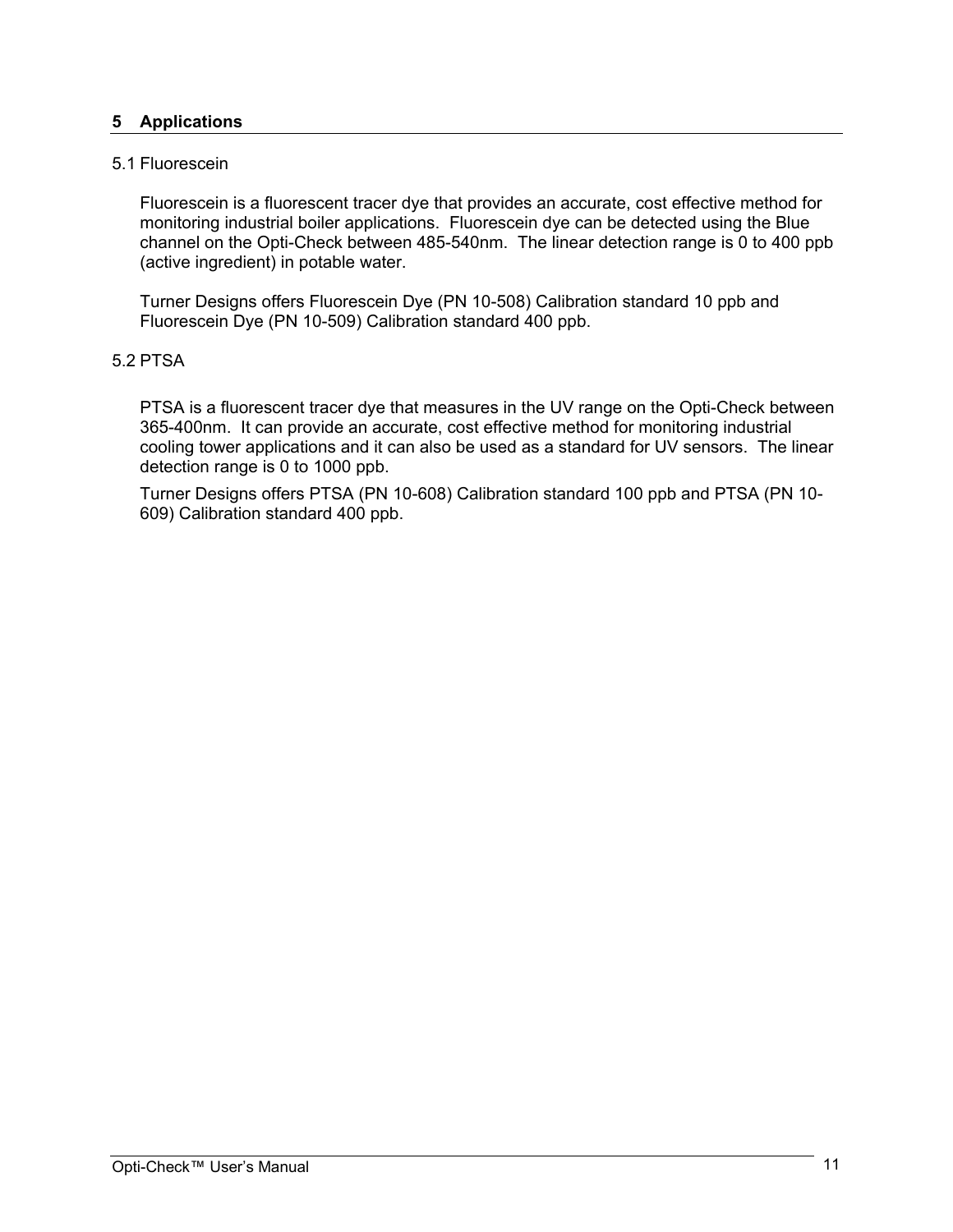## **5 Applications**

## 5.1 Fluorescein

Fluorescein is a fluorescent tracer dye that provides an accurate, cost effective method for monitoring industrial boiler applications. Fluorescein dye can be detected using the Blue channel on the Opti-Check between 485-540nm. The linear detection range is 0 to 400 ppb (active ingredient) in potable water.

Turner Designs offers Fluorescein Dye (PN 10-508) Calibration standard 10 ppb and Fluorescein Dye (PN 10-509) Calibration standard 400 ppb.

#### 5.2 PTSA

PTSA is a fluorescent tracer dye that measures in the UV range on the Opti-Check between 365-400nm. It can provide an accurate, cost effective method for monitoring industrial cooling tower applications and it can also be used as a standard for UV sensors. The linear detection range is 0 to 1000 ppb.

Turner Designs offers PTSA (PN 10-608) Calibration standard 100 ppb and PTSA (PN 10- 609) Calibration standard 400 ppb.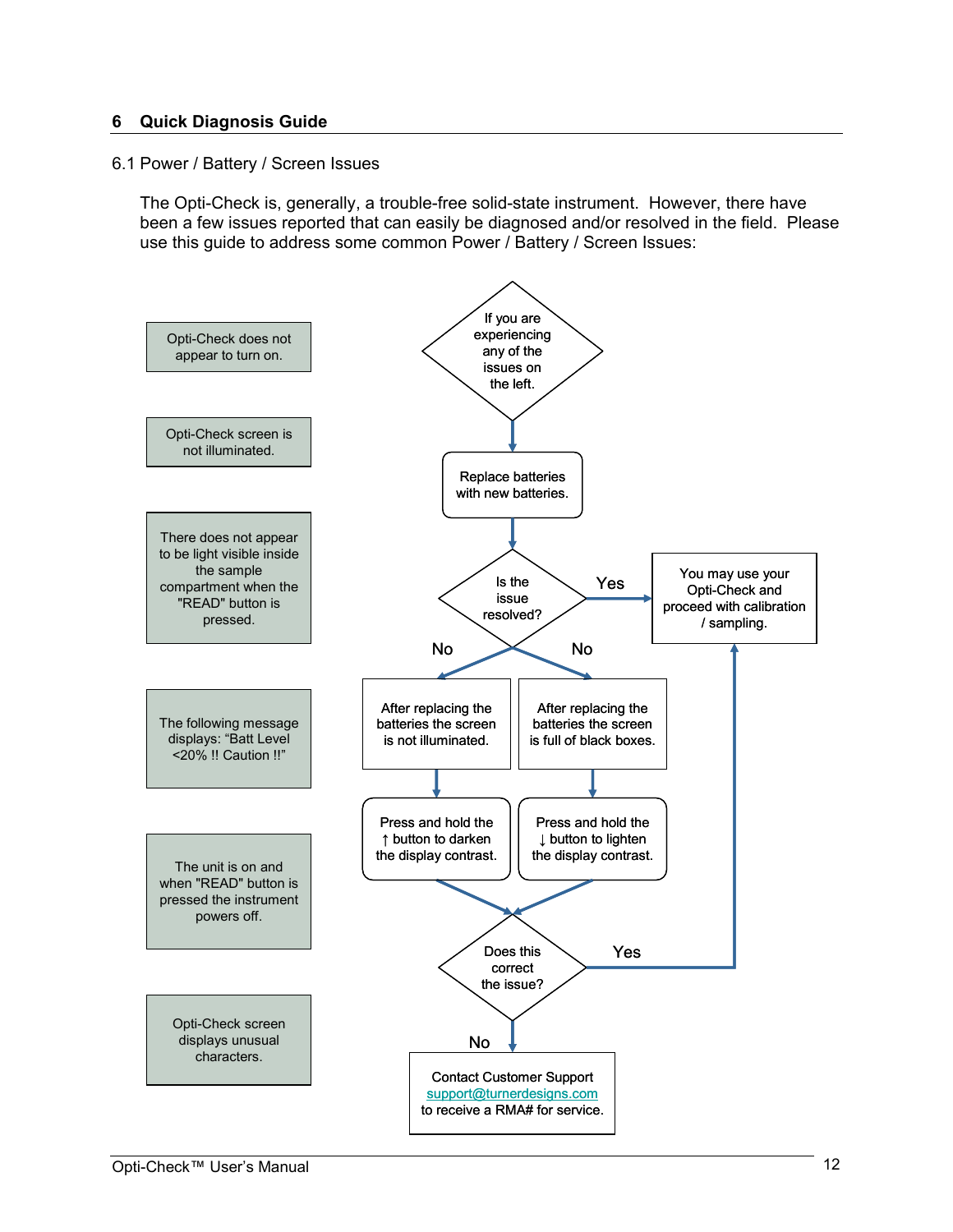#### **6 Quick Diagnosis Guide**

#### 6.1 Power / Battery / Screen Issues

 The Opti-Check is, generally, a trouble-free solid-state instrument. However, there have been a few issues reported that can easily be diagnosed and/or resolved in the field. Please use this guide to address some common Power / Battery / Screen Issues:

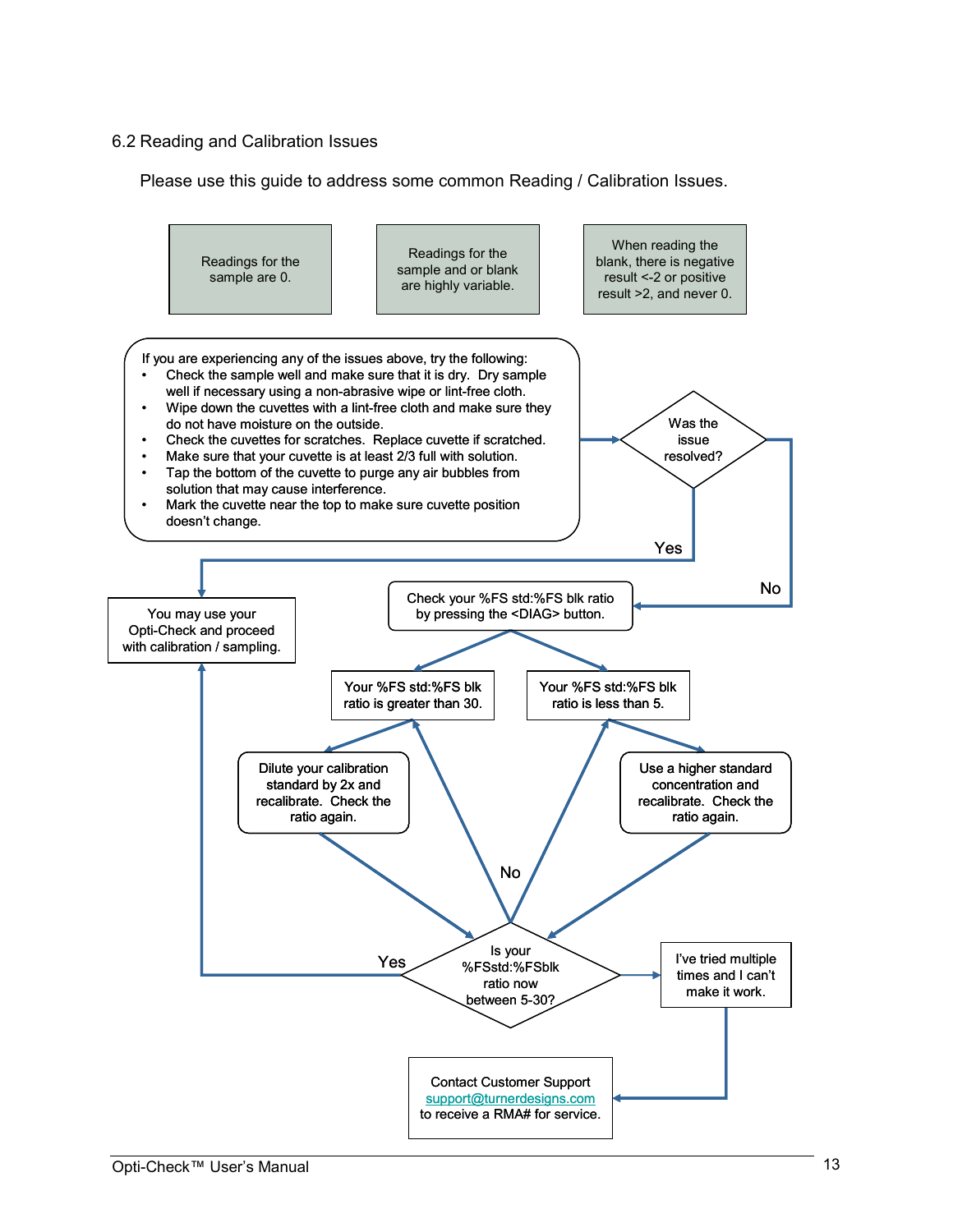## 6.2 Reading and Calibration Issues

Please use this guide to address some common Reading / Calibration Issues.

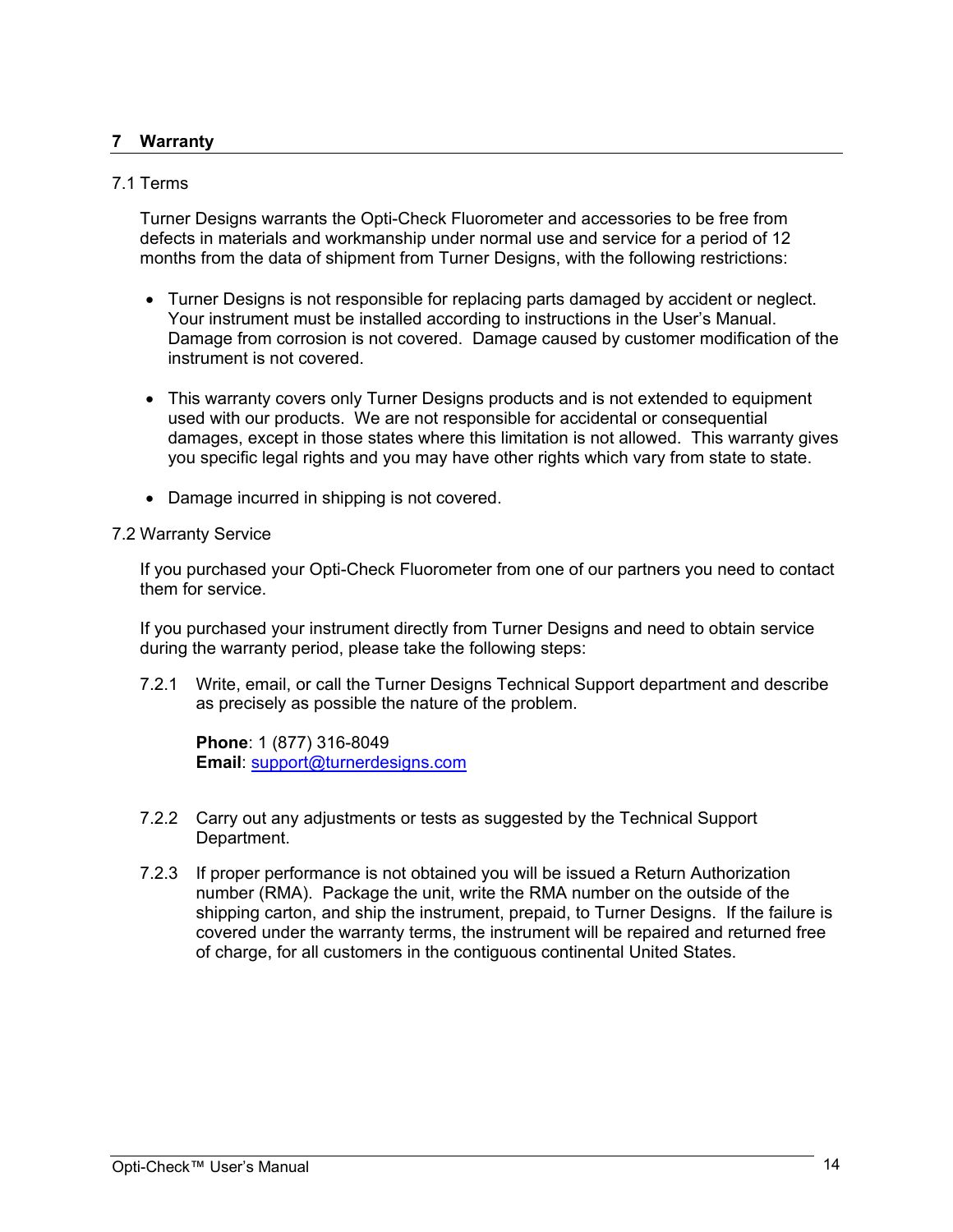## **7 Warranty**

## 7.1 Terms

Turner Designs warrants the Opti-Check Fluorometer and accessories to be free from defects in materials and workmanship under normal use and service for a period of 12 months from the data of shipment from Turner Designs, with the following restrictions:

- Turner Designs is not responsible for replacing parts damaged by accident or neglect. Your instrument must be installed according to instructions in the User's Manual. Damage from corrosion is not covered. Damage caused by customer modification of the instrument is not covered.
- This warranty covers only Turner Designs products and is not extended to equipment used with our products. We are not responsible for accidental or consequential damages, except in those states where this limitation is not allowed. This warranty gives you specific legal rights and you may have other rights which vary from state to state.
- Damage incurred in shipping is not covered.

#### 7.2 Warranty Service

 If you purchased your Opti-Check Fluorometer from one of our partners you need to contact them for service.

 If you purchased your instrument directly from Turner Designs and need to obtain service during the warranty period, please take the following steps:

7.2.1 Write, email, or call the Turner Designs Technical Support department and describe as precisely as possible the nature of the problem.

**Phone**: 1 (877) 316-8049 **Email**: support@turnerdesigns.com

- 7.2.2 Carry out any adjustments or tests as suggested by the Technical Support Department.
- 7.2.3 If proper performance is not obtained you will be issued a Return Authorization number (RMA). Package the unit, write the RMA number on the outside of the shipping carton, and ship the instrument, prepaid, to Turner Designs. If the failure is covered under the warranty terms, the instrument will be repaired and returned free of charge, for all customers in the contiguous continental United States.